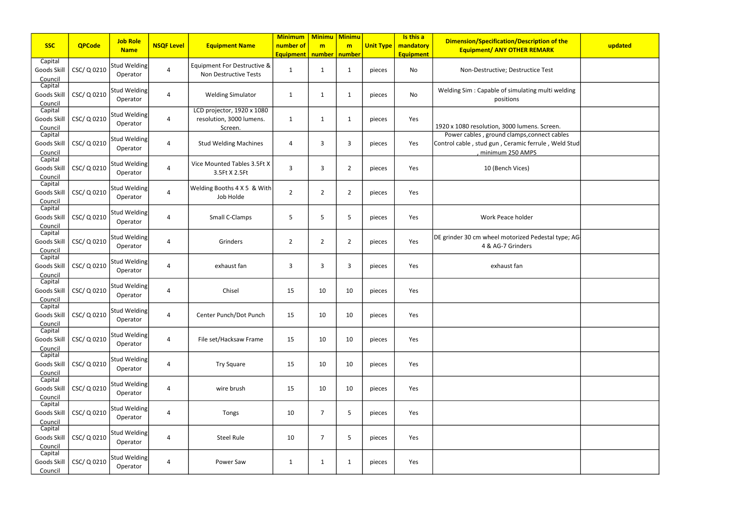| <b>SSC</b>                        | <b>QPCode</b> | <b>Job Role</b><br><b>Name</b> | <b>NSQF Level</b> | <b>Equipment Name</b>                                             | <b>Minimum</b><br>number of<br><b>Equipment</b> | <b>Minimu Minimu</b><br>m<br>number   number | m              | <b>Unit Type</b> | Is this a<br>mandatory<br><b>Equipment</b> | <b>Dimension/Specification/Description of the</b><br><b>Equipment/ ANY OTHER REMARK</b>                                | updated |
|-----------------------------------|---------------|--------------------------------|-------------------|-------------------------------------------------------------------|-------------------------------------------------|----------------------------------------------|----------------|------------------|--------------------------------------------|------------------------------------------------------------------------------------------------------------------------|---------|
| Capital<br>Goods Skill<br>Council | CSC/ Q 0210   | Stud Welding<br>Operator       | $\overline{4}$    | Equipment For Destructive &<br>Non Destructive Tests              | $\mathbf 1$                                     | $\mathbf{1}$                                 | 1              | pieces           | No                                         | Non-Destructive; Destructice Test                                                                                      |         |
| Capital<br>Goods Skill<br>Council | CSC/ Q 0210   | Stud Welding<br>Operator       | $\overline{4}$    | <b>Welding Simulator</b>                                          | 1                                               | 1                                            | -1             | pieces           | No                                         | Welding Sim: Capable of simulating multi welding<br>positions                                                          |         |
| Capital<br>Goods Skill<br>Council | CSC/ Q 0210   | Stud Welding<br>Operator       | $\overline{a}$    | LCD projector, 1920 x 1080<br>resolution, 3000 lumens.<br>Screen. | $\mathbf{1}$                                    | $\mathbf{1}$                                 | 1              | pieces           | Yes                                        | 1920 x 1080 resolution, 3000 lumens. Screen.                                                                           |         |
| Capital<br>Goods Skill<br>Council | CSC/ Q 0210   | Stud Welding<br>Operator       | $\overline{4}$    | <b>Stud Welding Machines</b>                                      | 4                                               | 3                                            | $\overline{3}$ | pieces           | Yes                                        | Power cables, ground clamps, connect cables<br>Control cable, stud gun, Ceramic ferrule, Weld Stud<br>minimum 250 AMPS |         |
| Capital<br>Goods Skill<br>Council | CSC/ Q 0210   | Stud Welding<br>Operator       | $\overline{4}$    | Vice Mounted Tables 3.5Ft X<br>3.5Ft X 2.5Ft                      | 3                                               | 3                                            | $\overline{2}$ | pieces           | Yes                                        | 10 (Bench Vices)                                                                                                       |         |
| Capital<br>Goods Skill<br>Council | CSC/ Q 0210   | Stud Welding<br>Operator       | $\overline{4}$    | Welding Booths 4 X 5 & With<br>Job Holde                          | $\overline{2}$                                  | $\overline{2}$                               | 2              | pieces           | Yes                                        |                                                                                                                        |         |
| Capital<br>Goods Skill<br>Council | CSC/ Q 0210   | Stud Welding<br>Operator       | $\overline{4}$    | Small C-Clamps                                                    | 5                                               | 5                                            | 5              | pieces           | Yes                                        | Work Peace holder                                                                                                      |         |
| Capital<br>Goods Skill<br>Council | CSC/ Q 0210   | Stud Welding<br>Operator       | $\overline{4}$    | Grinders                                                          | $\overline{2}$                                  | $\overline{2}$                               | $\overline{2}$ | pieces           | Yes                                        | DE grinder 30 cm wheel motorized Pedestal type; AG-<br>4 & AG-7 Grinders                                               |         |
| Capital<br>Goods Skill<br>Council | CSC/ Q 0210   | Stud Welding<br>Operator       | $\overline{a}$    | exhaust fan                                                       | 3                                               | 3                                            | 3              | pieces           | Yes                                        | exhaust fan                                                                                                            |         |
| Capital<br>Goods Skill<br>Council | CSC/ Q 0210   | Stud Welding<br>Operator       | $\overline{4}$    | Chisel                                                            | 15                                              | 10                                           | 10             | pieces           | Yes                                        |                                                                                                                        |         |
| Capital<br>Goods Skill<br>Council | CSC/ Q 0210   | Stud Welding<br>Operator       | $\overline{4}$    | Center Punch/Dot Punch                                            | 15                                              | 10                                           | 10             | pieces           | Yes                                        |                                                                                                                        |         |
| Capital<br>Goods Skill<br>Council | CSC/ Q 0210   | Stud Welding<br>Operator       | $\overline{4}$    | File set/Hacksaw Frame                                            | 15                                              | 10                                           | 10             | pieces           | Yes                                        |                                                                                                                        |         |
| Capital<br>Goods Skill<br>Council | CSC/ Q 0210   | Stud Welding<br>Operator       | $\overline{4}$    | <b>Try Square</b>                                                 | 15                                              | 10                                           | 10             | pieces           | Yes                                        |                                                                                                                        |         |
| Capital<br>Goods Skill<br>Council | CSC/ Q 0210   | Stud Welding<br>Operator       | $\overline{a}$    | wire brush                                                        | 15                                              | 10                                           | 10             | pieces           | Yes                                        |                                                                                                                        |         |
| Capital<br>Goods Skill<br>Council | CSC/ Q 0210   | Stud Welding<br>Operator       | $\overline{4}$    | Tongs                                                             | 10                                              | $\overline{7}$                               | 5              | pieces           | Yes                                        |                                                                                                                        |         |
| Capital<br>Goods Skill<br>Council | CSC/ Q 0210   | Stud Welding<br>Operator       | $\overline{4}$    | <b>Steel Rule</b>                                                 | 10                                              | $\overline{7}$                               | 5              | pieces           | Yes                                        |                                                                                                                        |         |
| Capital<br>Goods Skill<br>Council | CSC/ Q 0210   | Stud Welding<br>Operator       | $\overline{4}$    | Power Saw                                                         | $\mathbf{1}$                                    | $\mathbf{1}$                                 | $\mathbf{1}$   | pieces           | Yes                                        |                                                                                                                        |         |

| ication/Description of the<br><b>ANY OTHER REMARK</b>                       | updated |
|-----------------------------------------------------------------------------|---------|
| tive; Destructice Test                                                      |         |
| le of simulating multi welding<br>positions                                 |         |
| n, 3000 lumens. Screen.                                                     |         |
| und clamps, connect cables<br>n, Ceramic ferrule, Weld Stud<br>num 250 AMPS |         |
| Bench Vices)                                                                |         |
|                                                                             |         |
| Peace holder                                                                |         |
| el motorized Pedestal type; AG<br><b>AG-7 Grinders</b>                      |         |
| xhaust fan                                                                  |         |
|                                                                             |         |
|                                                                             |         |
|                                                                             |         |
|                                                                             |         |
|                                                                             |         |
|                                                                             |         |
|                                                                             |         |
|                                                                             |         |
|                                                                             |         |